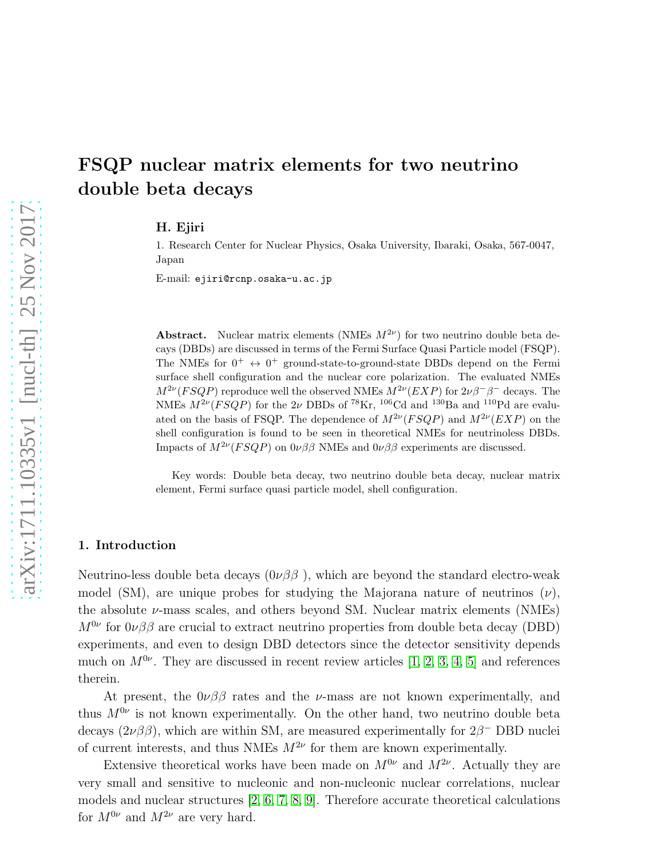# FSQP nuclear matrix elements for two neutrino double beta decays

H. Ejiri

1. Research Center for Nuclear Physics, Osaka University, Ibaraki, Osaka, 567-0047, Japan

E-mail: ejiri@rcnp.osaka-u.ac.jp

**Abstract.** Nuclear matrix elements (NMEs  $M^{2\nu}$ ) for two neutrino double beta decays (DBDs) are discussed in terms of the Fermi Surface Quasi Particle model (FSQP). The NMEs for  $0^+ \leftrightarrow 0^+$  ground-state-to-ground-state DBDs depend on the Fermi surface shell configuration and the nuclear core polarization. The evaluated NMEs  $M^{2\nu}(FSQP)$  reproduce well the observed NMEs  $M^{2\nu}(EXP)$  for  $2\nu\beta^-\beta^-$  decays. The NMEs  $M^{2\nu}(FSQP)$  for the 2v DBDs of <sup>78</sup>Kr, <sup>106</sup>Cd and <sup>130</sup>Ba and <sup>110</sup>Pd are evaluated on the basis of FSQP. The dependence of  $M^{2\nu}(FSQP)$  and  $M^{2\nu}(EXP)$  on the shell configuration is found to be seen in theoretical NMEs for neutrinoless DBDs. Impacts of  $M^{2\nu}(FSQP)$  on  $0\nu\beta\beta$  NMEs and  $0\nu\beta\beta$  experiments are discussed.

Key words: Double beta decay, two neutrino double beta decay, nuclear matrix element, Fermi surface quasi particle model, shell configuration.

## 1. Introduction

Neutrino-less double beta decays  $(0\nu\beta\beta)$ , which are beyond the standard electro-weak model (SM), are unique probes for studying the Majorana nature of neutrinos  $(\nu)$ , the absolute  $\nu$ -mass scales, and others beyond SM. Nuclear matrix elements (NMEs)  $M^{0\nu}$  for  $0\nu\beta\beta$  are crucial to extract neutrino properties from double beta decay (DBD) experiments, and even to design DBD detectors since the detector sensitivity depends much on  $M^{0\nu}$ . They are discussed in recent review articles [\[1,](#page-7-0) [2,](#page-7-1) [3,](#page-7-2) [4,](#page-7-3) [5\]](#page-7-4) and references therein.

At present, the  $0\nu\beta\beta$  rates and the *v*-mass are not known experimentally, and thus  $M^{0\nu}$  is not known experimentally. On the other hand, two neutrino double beta decays  $(2\nu\beta\beta)$ , which are within SM, are measured experimentally for  $2\beta^-$  DBD nuclei of current interests, and thus NMEs  $M^{2\nu}$  for them are known experimentally.

Extensive theoretical works have been made on  $M^{0\nu}$  and  $M^{2\nu}$ . Actually they are very small and sensitive to nucleonic and non-nucleonic nuclear correlations, nuclear models and nuclear structures [\[2,](#page-7-1) [6,](#page-7-5) [7,](#page-7-6) [8,](#page-7-7) [9\]](#page-7-8). Therefore accurate theoretical calculations for  $M^{0\nu}$  and  $M^{2\nu}$  are very hard.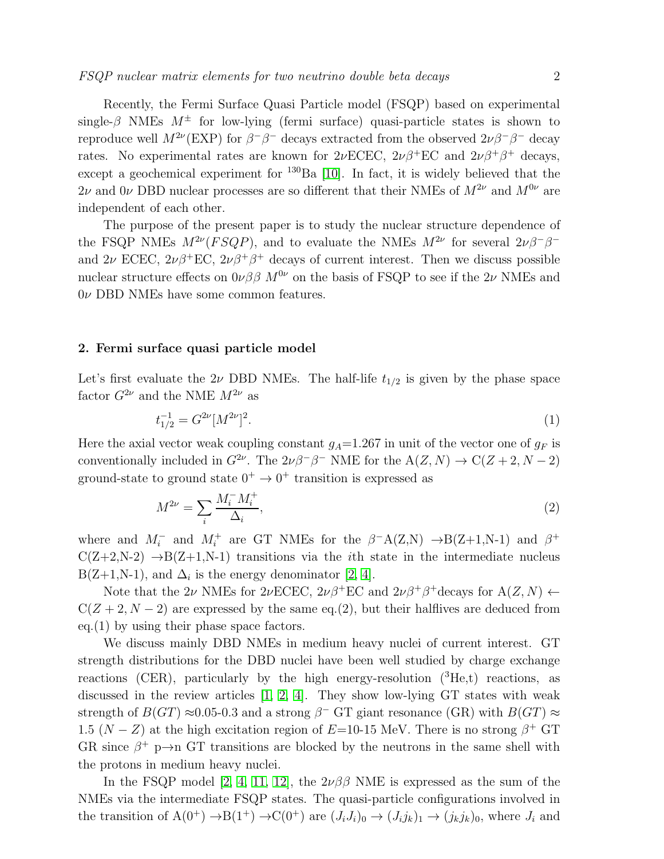Recently, the Fermi Surface Quasi Particle model (FSQP) based on experimental single- $\beta$  NMEs  $M^{\pm}$  for low-lying (fermi surface) quasi-particle states is shown to reproduce well  $M^{2\nu}(\text{EXP})$  for  $\beta^-\beta^-$  decays extracted from the observed  $2\nu\beta^-\beta^-$  decay rates. No experimental rates are known for  $2\nu$ ECEC,  $2\nu\beta^+$ EC and  $2\nu\beta^+\beta^+$  decays, except a geochemical experiment for  $^{130}Ba$  [\[10\]](#page-7-9). In fact, it is widely believed that the  $2\nu$  and  $0\nu$  DBD nuclear processes are so different that their NMEs of  $M^{2\nu}$  and  $M^{0\nu}$  are independent of each other.

The purpose of the present paper is to study the nuclear structure dependence of the FSQP NMEs  $M^{2\nu}(FSQP)$ , and to evaluate the NMEs  $M^{2\nu}$  for several  $2\nu\beta^-\beta^$ and  $2\nu$  ECEC,  $2\nu\beta^+$ EC,  $2\nu\beta^+\beta^+$  decays of current interest. Then we discuss possible nuclear structure effects on  $0\nu\beta\beta M^{0\nu}$  on the basis of FSQP to see if the 2 $\nu$  NMEs and  $0\nu$  DBD NMEs have some common features.

## 2. Fermi surface quasi particle model

Let's first evaluate the 2 $\nu$  DBD NMEs. The half-life  $t_{1/2}$  is given by the phase space factor  $G^{2\nu}$  and the NME  $M^{2\nu}$  as

$$
t_{1/2}^{-1} = G^{2\nu} [M^{2\nu}]^2. \tag{1}
$$

Here the axial vector weak coupling constant  $g_A=1.267$  in unit of the vector one of  $g_F$  is conventionally included in  $G^{2\nu}$ . The  $2\nu\beta^-\beta^-$  NME for the  $A(Z, N) \to C(Z + 2, N - 2)$ ground-state to ground state  $0^+ \rightarrow 0^+$  transition is expressed as

$$
M^{2\nu} = \sum_{i} \frac{M_i^- M_i^+}{\Delta_i},\tag{2}
$$

where and  $M_i^-$  and  $M_i^+$  are GT NMEs for the  $\beta^- A(Z,N) \rightarrow B(Z+1,N-1)$  and  $\beta^+$  $C(Z+2,N-2) \rightarrow B(Z+1,N-1)$  transitions via the *i*th state in the intermediate nucleus  $B(Z+1,N-1)$ , and  $\Delta_i$  is the energy denominator [\[2,](#page-7-1) [4\]](#page-7-3).

Note that the 2ν NMEs for 2νECEC,  $2\nu\beta^+$ EC and  $2\nu\beta^+\beta^+$ decays for A $(Z, N)$   $\leftarrow$  $C(Z + 2, N - 2)$  are expressed by the same eq.(2), but their halflives are deduced from eq.(1) by using their phase space factors.

We discuss mainly DBD NMEs in medium heavy nuclei of current interest. GT strength distributions for the DBD nuclei have been well studied by charge exchange reactions (CER), particularly by the high energy-resolution  $({}^{3}He, t)$  reactions, as discussed in the review articles [\[1,](#page-7-0) [2,](#page-7-1) [4\]](#page-7-3). They show low-lying GT states with weak strength of  $B(GT) \approx 0.05$ -0.3 and a strong  $\beta^-$  GT giant resonance (GR) with  $B(GT) \approx$ 1.5 ( $N - Z$ ) at the high excitation region of  $E=10-15$  MeV. There is no strong  $\beta^+$  GT GR since  $\beta^+$  p $\rightarrow$ n GT transitions are blocked by the neutrons in the same shell with the protons in medium heavy nuclei.

In the FSQP model [\[2,](#page-7-1) [4,](#page-7-3) [11,](#page-7-10) [12\]](#page-7-11), the  $2\nu\beta\beta$  NME is expressed as the sum of the NMEs via the intermediate FSQP states. The quasi-particle configurations involved in the transition of  $A(0^+) \rightarrow B(1^+) \rightarrow C(0^+)$  are  $(J_i J_i)_0 \rightarrow (J_i j_k)_1 \rightarrow (j_k j_k)_0$ , where  $J_i$  and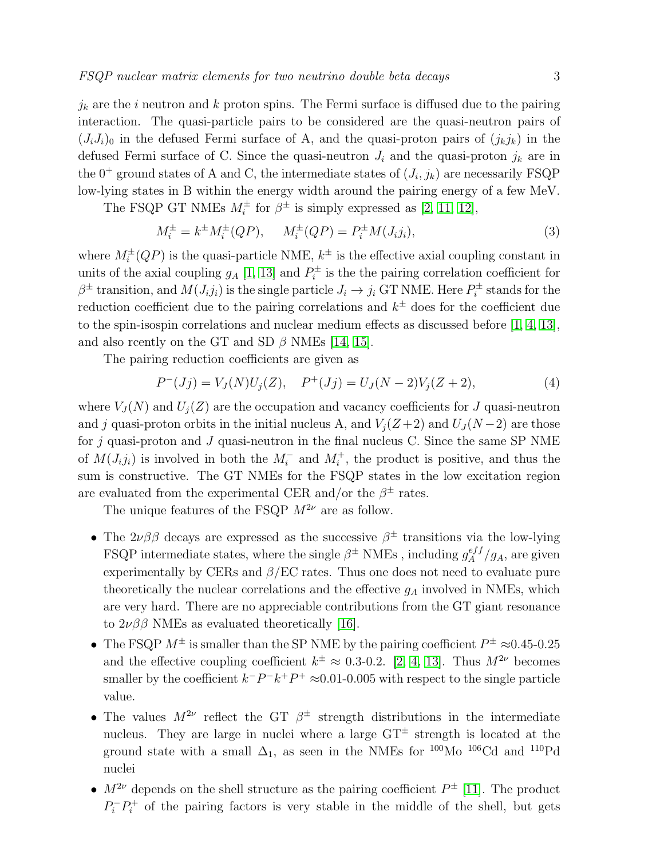$j_k$  are the i neutron and k proton spins. The Fermi surface is diffused due to the pairing interaction. The quasi-particle pairs to be considered are the quasi-neutron pairs of  $(J_iJ_i)_0$  in the defused Fermi surface of A, and the quasi-proton pairs of  $(j_kj_k)$  in the defused Fermi surface of C. Since the quasi-neutron  $J_i$  and the quasi-proton  $j_k$  are in the  $0^+$  ground states of A and C, the intermediate states of  $(J_i, j_k)$  are necessarily FSQP low-lying states in B within the energy width around the pairing energy of a few MeV.

The FSQP GT NMEs  $M_i^{\pm}$  for  $\beta^{\pm}$  is simply expressed as [\[2,](#page-7-1) [11,](#page-7-10) [12\]](#page-7-11),

$$
M_i^{\pm} = k^{\pm} M_i^{\pm}(QP), \qquad M_i^{\pm}(QP) = P_i^{\pm} M(J_i j_i), \tag{3}
$$

where  $M_i^{\pm}(QP)$  is the quasi-particle NME,  $k^{\pm}$  is the effective axial coupling constant in units of the axial coupling  $g_A$  [\[1,](#page-7-0) [13\]](#page-7-12) and  $P_i^{\pm}$  $\hat{v}_i^{\pm}$  is the the pairing correlation coefficient for  $\beta^{\pm}$  transition, and  $M(J_i j_i)$  is the single particle  $J_i \rightarrow j_i$  GT NME. Here  $P_i^{\pm}$  $p_i^{\pm}$  stands for the reduction coefficient due to the pairing correlations and  $k^{\pm}$  does for the coefficient due to the spin-isospin correlations and nuclear medium effects as discussed before [\[1,](#page-7-0) [4,](#page-7-3) [13\]](#page-7-12), and also reently on the GT and SD  $\beta$  NMEs [\[14,](#page-7-13) [15\]](#page-7-14).

The pairing reduction coefficients are given as

$$
P^{-}(Jj) = V_{J}(N)U_{j}(Z), \quad P^{+}(Jj) = U_{J}(N-2)V_{j}(Z+2), \tag{4}
$$

where  $V_J(N)$  and  $U_j(Z)$  are the occupation and vacancy coefficients for J quasi-neutron and j quasi-proton orbits in the initial nucleus A, and  $V_i(Z+2)$  and  $U_j(N-2)$  are those for  $j$  quasi-proton and  $J$  quasi-neutron in the final nucleus C. Since the same SP NME of  $M(J_i j_i)$  is involved in both the  $M_i^-$  and  $M_i^+$ , the product is positive, and thus the sum is constructive. The GT NMEs for the FSQP states in the low excitation region are evaluated from the experimental CER and/or the  $\beta^{\pm}$  rates.

The unique features of the FSQP  $M^{2\nu}$  are as follow.

- The  $2\nu\beta\beta$  decays are expressed as the successive  $\beta^{\pm}$  transitions via the low-lying FSQP intermediate states, where the single  $\beta^{\pm}$  NMEs, including  $g_A^{eff}/g_A$ , are given experimentally by CERs and  $\beta$ /EC rates. Thus one does not need to evaluate pure theoretically the nuclear correlations and the effective  $g_A$  involved in NMEs, which are very hard. There are no appreciable contributions from the GT giant resonance to  $2\nu\beta\beta$  NMEs as evaluated theoretically [\[16\]](#page-7-15).
- The FSQP  $M^{\pm}$  is smaller than the SP NME by the pairing coefficient  $P^{\pm} \approx 0.45$ -0.25 and the effective coupling coefficient  $k^{\pm} \approx 0.3$ -0.2. [\[2,](#page-7-1) [4,](#page-7-3) [13\]](#page-7-12). Thus  $M^{2\nu}$  becomes smaller by the coefficient  $k^-P^-k^+P^+ \approx 0.01$ -0.005 with respect to the single particle value.
- The values  $M^{2\nu}$  reflect the GT  $\beta^{\pm}$  strength distributions in the intermediate nucleus. They are large in nuclei where a large GT<sup>±</sup> strength is located at the ground state with a small  $\Delta_1$ , as seen in the NMEs for <sup>100</sup>Mo <sup>106</sup>Cd and <sup>110</sup>Pd nuclei
- $M^{2\nu}$  depends on the shell structure as the pairing coefficient  $P^{\pm}$  [\[11\]](#page-7-10). The product  $P_i^-P_i^+$  of the pairing factors is very stable in the middle of the shell, but gets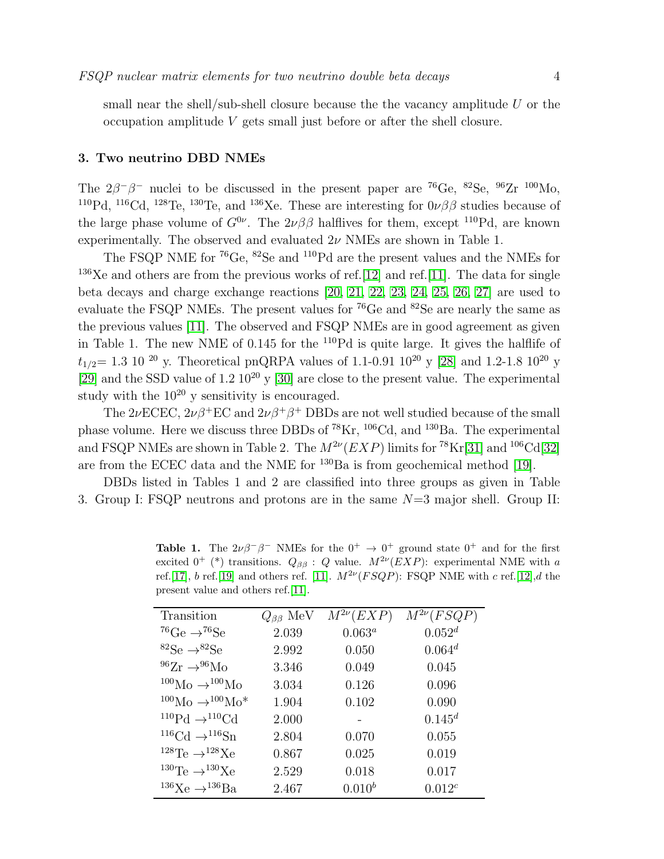small near the shell/sub-shell closure because the the vacancy amplitude  $U$  or the occupation amplitude V gets small just before or after the shell closure.

#### 3. Two neutrino DBD NMEs

The  $2\beta^{-}\beta^{-}$  nuclei to be discussed in the present paper are <sup>76</sup>Ge, <sup>82</sup>Se, <sup>96</sup>Zr <sup>100</sup>Mo, <sup>110</sup>Pd, <sup>116</sup>Cd, <sup>128</sup>Te, <sup>130</sup>Te, and <sup>136</sup>Xe. These are interesting for  $0\nu\beta\beta$  studies because of the large phase volume of  $G^{0\nu}$ . The  $2\nu\beta\beta$  halflives for them, except <sup>110</sup>Pd, are known experimentally. The observed and evaluated  $2\nu$  NMEs are shown in Table 1.

The FSQP NME for <sup>76</sup>Ge, <sup>82</sup>Se and <sup>110</sup>Pd are the present values and the NMEs for <sup>136</sup>Xe and others are from the previous works of ref.[\[12\]](#page-7-11) and ref.[\[11\]](#page-7-10). The data for single beta decays and charge exchange reactions [\[20,](#page-7-16) [21,](#page-7-17) [22,](#page-7-18) [23,](#page-7-19) [24,](#page-7-20) [25,](#page-7-21) [26,](#page-8-0) [27\]](#page-8-1) are used to evaluate the FSQP NMEs. The present values for <sup>76</sup>Ge and <sup>82</sup>Se are nearly the same as the previous values [\[11\]](#page-7-10). The observed and FSQP NMEs are in good agreement as given in Table 1. The new NME of 0.145 for the <sup>110</sup>Pd is quite large. It gives the halflife of  $t_{1/2}$  = 1.3 10<sup>20</sup> y. Theoretical pnQRPA values of 1.1-0.91 10<sup>20</sup> y [\[28\]](#page-8-2) and 1.2-1.8 10<sup>20</sup> y [\[29\]](#page-8-3) and the SSD value of  $1.2 \times 10^{20}$  y [\[30\]](#page-8-4) are close to the present value. The experimental study with the  $10^{20}$  y sensitivity is encouraged.

The  $2\nu$ ECEC,  $2\nu\beta$ <sup>+</sup>EC and  $2\nu\beta$ <sup>+</sup> $\beta$ <sup>+</sup> DBDs are not well studied because of the small phase volume. Here we discuss three DBDs of  $^{78}\text{Kr}$ ,  $^{106}\text{Cd}$ , and  $^{130}\text{Ba}$ . The experimental and FSQP NMEs are shown in Table 2. The  $M^{2\nu}(EXP)$  limits for <sup>78</sup>Kr[\[31\]](#page-8-5) and <sup>106</sup>Cd[\[32\]](#page-8-6) are from the ECEC data and the NME for  $^{130}Ba$  is from geochemical method [\[19\]](#page-7-22).

DBDs listed in Tables 1 and 2 are classified into three groups as given in Table 3. Group I: FSQP neutrons and protons are in the same N=3 major shell. Group II:

**Table 1.** The  $2\nu\beta^{-}\beta^{-}$  NMEs for the  $0^{+} \rightarrow 0^{+}$  ground state  $0^{+}$  and for the first excited  $0^+$  (\*) transitions.  $Q_{\beta\beta}: Q$  value.  $M^{2\nu}(EXP)$ : experimental NME with a ref.[\[17\]](#page-7-23), b ref.[\[19\]](#page-7-22) and others ref. [\[11\]](#page-7-10).  $M^{2\nu}(FSQP)$ : FSQP NME with c ref.[\[12\]](#page-7-11),d the present value and others ref.[\[11\]](#page-7-10).

| Transition                                        | $Q_{\beta\beta}$ MeV | $M^{2\nu}(EXP)$ | $M^{2\nu}(FSQP)$ |
|---------------------------------------------------|----------------------|-----------------|------------------|
| <sup>76</sup> Ge $\rightarrow$ <sup>76</sup> Se   | 2.039                | $0.063^a$       | $0.052^d$        |
| ${}^{82}\text{Se} \rightarrow {}^{82}\text{Se}$   | 2.992                | 0.050           | $0.064^d$        |
| $^{96}Zr \rightarrow ^{96}Mo$                     | 3.346                | 0.049           | 0.045            |
| $^{100}\text{Mo} \rightarrow ^{100}\text{Mo}$     | 3.034                | 0.126           | 0.096            |
| $100\,\text{Mo}\rightarrow 100\,\text{Mo}^*$      | 1.904                | 0.102           | 0.090            |
| $^{110}\text{Pd} \rightarrow ^{110}\text{Cd}$     | 2.000                |                 | $0.145^d$        |
| ${}^{116}\text{Cd} \rightarrow {}^{116}\text{Sn}$ | 2.804                | 0.070           | 0.055            |
| <sup>128</sup> Te $\rightarrow$ <sup>128</sup> Xe | 0.867                | 0.025           | 0.019            |
| <sup>130</sup> Te $\rightarrow$ <sup>130</sup> Xe | 2.529                | 0.018           | 0.017            |
| <sup>136</sup> Xe $\rightarrow$ <sup>136</sup> Ba | 2.467                | $0.010^{b}$     | $0.012^{c}$      |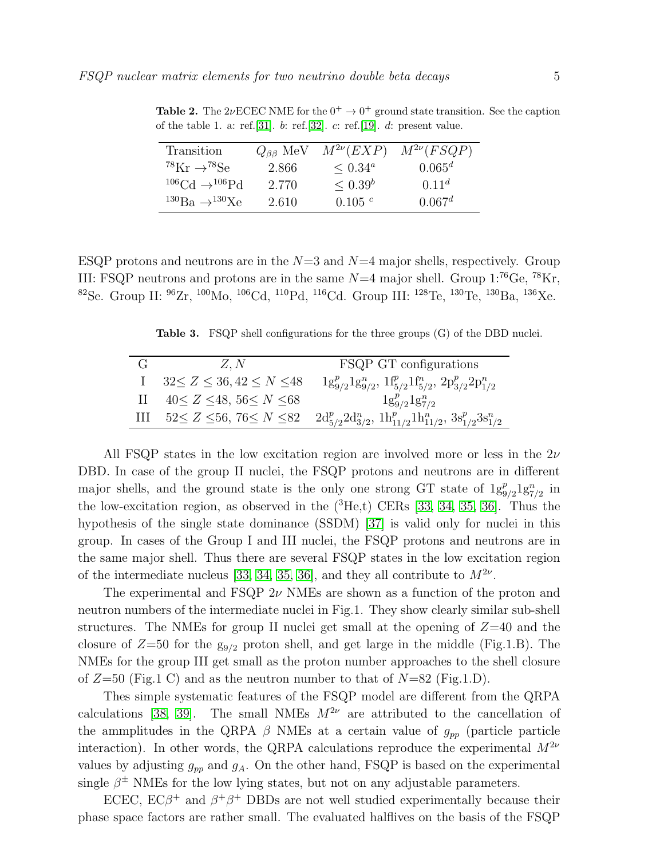| Transition                                      | $Q_{\beta\beta}$ MeV | $M^{2\nu}(EXP)$     | $M^{2\nu}(FSQP)$   |
|-------------------------------------------------|----------------------|---------------------|--------------------|
| <sup>78</sup> Kr $\rightarrow$ <sup>78</sup> Se | 2.866                | $\leq 0.34^{\circ}$ | $0.065^d$          |
| $^{106}$ Cd $\rightarrow$ $^{106}$ Pd           | 2.770                | $\leq 0.39^b$       | $0.11^d$           |
| $^{130}\text{Ba} \rightarrow ^{130}\text{Xe}$   | 2.610                | 0.105c              | 0.067 <sup>d</sup> |

**Table 2.** The 2 $\nu$ ECEC NME for the  $0^+ \rightarrow 0^+$  ground state transition. See the caption of the table 1. a: ref.[\[31\]](#page-8-5). b: ref.[\[32\]](#page-8-6).  $c$ : ref.[\[19\]](#page-7-22).  $d$ : present value.

ESQP protons and neutrons are in the  $N=3$  and  $N=4$  major shells, respectively. Group III: FSQP neutrons and protons are in the same  $N=4$  major shell. Group  $1^{176}$ Ge,  $^{78}$ Kr, <sup>82</sup>Se. Group II: <sup>96</sup>Zr, <sup>100</sup>Mo, <sup>106</sup>Cd, <sup>110</sup>Pd, <sup>116</sup>Cd. Group III: <sup>128</sup>Te, <sup>130</sup>Te, <sup>130</sup>Ba, <sup>136</sup>Xe.

Table 3. FSQP shell configurations for the three groups (G) of the DBD nuclei.

| Z, N                               | FSQP GT configurations                                                                                                  |  |
|------------------------------------|-------------------------------------------------------------------------------------------------------------------------|--|
| $32 \le Z \le 36, 42 \le N \le 48$ | $1g_{9/2}^p 1g_{9/2}^n$ , $1f_{5/2}^p 1f_{5/2}^n$ , $2p_{3/2}^p 2p_{1/2}^n$                                             |  |
| $40 \le Z \le 48, 56 \le N \le 68$ | $1g_{9/2}^p 1g_{7/2}^n$                                                                                                 |  |
|                                    | III $52 \le Z \le 56$ , $76 \le N \le 82$ $2d_{5/2}^p 2d_{3/2}^n$ , $1h_{11/2}^p 1h_{11/2}^n$ , $3s_{1/2}^p 3s_{1/2}^n$ |  |

All FSQP states in the low excitation region are involved more or less in the  $2\nu$ DBD. In case of the group II nuclei, the FSQP protons and neutrons are in different major shells, and the ground state is the only one strong GT state of  $1g_{9/2}^p1g_{7/2}^n$  in the low-excitation region, as observed in the  $({}^{3}He,t)$  CERs [\[33,](#page-8-7) [34,](#page-8-8) [35,](#page-8-9) [36\]](#page-8-10). Thus the hypothesis of the single state dominance (SSDM) [\[37\]](#page-8-11) is valid only for nuclei in this group. In cases of the Group I and III nuclei, the FSQP protons and neutrons are in the same major shell. Thus there are several FSQP states in the low excitation region of the intermediate nucleus [\[33,](#page-8-7) [34,](#page-8-8) [35,](#page-8-9) [36\]](#page-8-10), and they all contribute to  $M^{2\nu}$ .

The experimental and FSQP  $2\nu$  NMEs are shown as a function of the proton and neutron numbers of the intermediate nuclei in Fig.1. They show clearly similar sub-shell structures. The NMEs for group II nuclei get small at the opening of  $Z=40$  and the closure of  $Z=50$  for the  $g_{9/2}$  proton shell, and get large in the middle (Fig.1.B). The NMEs for the group III get small as the proton number approaches to the shell closure of  $Z=50$  (Fig.1 C) and as the neutron number to that of  $N=82$  (Fig.1.D).

Thes simple systematic features of the FSQP model are different from the QRPA calculations [\[38,](#page-8-12) [39\]](#page-8-13). The small NMEs  $M^{2\nu}$  are attributed to the cancellation of the ammplitudes in the QRPA  $\beta$  NMEs at a certain value of  $g_{pp}$  (particle particle interaction). In other words, the QRPA calculations reproduce the experimental  $M^{2\nu}$ values by adjusting  $g_{pp}$  and  $g_A$ . On the other hand, FSQP is based on the experimental single  $\beta^{\pm}$  NMEs for the low lying states, but not on any adjustable parameters.

ECEC,  $EC\beta^+$  and  $\beta^+\beta^+$  DBDs are not well studied experimentally because their phase space factors are rather small. The evaluated halflives on the basis of the FSQP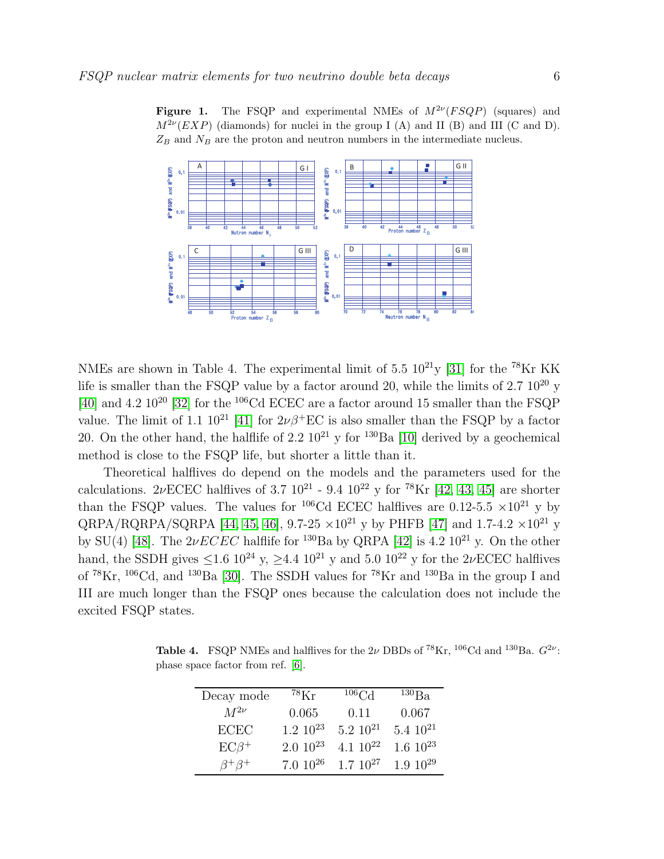

Figure 1. The FSQP and experimental NMEs of  $M^{2\nu}(FSQP)$  (squares) and  $M^{2\nu}(EXP)$  (diamonds) for nuclei in the group I (A) and II (B) and III (C and D).  $Z_B$  and  $N_B$  are the proton and neutron numbers in the intermediate nucleus.

NMEs are shown in Table 4. The experimental limit of 5.5  $10^{21}$ y [\[31\]](#page-8-5) for the <sup>78</sup>Kr KK life is smaller than the FSQP value by a factor around 20, while the limits of  $2.7 \times 10^{20}$  y [\[40\]](#page-8-14) and 4.2  $10^{20}$  [\[32\]](#page-8-6) for the <sup>106</sup>Cd ECEC are a factor around 15 smaller than the FSQP value. The limit of 1.1  $10^{21}$  [\[41\]](#page-8-15) for  $2\nu\beta$ <sup>+</sup>EC is also smaller than the FSQP by a factor 20. On the other hand, the halflife of 2.2  $10^{21}$  y for <sup>130</sup>Ba [\[10\]](#page-7-9) derived by a geochemical method is close to the FSQP life, but shorter a little than it.

Theoretical halflives do depend on the models and the parameters used for the calculations. 2νECEC halflives of 3.7  $10^{21}$  - 9.4  $10^{22}$  y for <sup>78</sup>Kr [\[42,](#page-8-16) [43,](#page-8-17) [45\]](#page-8-18) are shorter than the FSQP values. The values for <sup>106</sup>Cd ECEC halflives are 0.12-5.5  $\times 10^{21}$  y by QRPA/RQRPA/SQRPA [\[44,](#page-8-19) [45,](#page-8-18) [46\]](#page-8-20), 9.7-25  $\times 10^{21}$  y by PHFB [\[47\]](#page-8-21) and 1.7-4.2  $\times 10^{21}$  y by SU(4) [\[48\]](#page-8-22). The  $2\nu ECEC$  halflife for <sup>130</sup>Ba by QRPA [\[42\]](#page-8-16) is 4.2 10<sup>21</sup> y. On the other hand, the SSDH gives  $\leq 1.6 \frac{10^{24} \text{ y}}{24.4 \frac{10^{21} \text{ y}}{24.4 \frac{10^{22} \text{ y}}}$  for the 2*ν*ECEC halflives of  ${}^{78}\text{Kr}, {}^{106}\text{Cd},$  and  ${}^{130}\text{Ba}$  [\[30\]](#page-8-4). The SSDH values for  ${}^{78}\text{Kr}$  and  ${}^{130}\text{Ba}$  in the group I and III are much longer than the FSQP ones because the calculation does not include the excited FSQP states.

**Table 4.** FSQP NMEs and halflives for the 2 $\nu$  DBDs of <sup>78</sup>Kr, <sup>106</sup>Cd and <sup>130</sup>Ba.  $G^{2\nu}$ : phase space factor from ref. [\[6\]](#page-7-5).

| Decay mode       | $^{78}\mathrm{Kr}$ | $106 \text{Cd}$  | $^{130}Ba$       |
|------------------|--------------------|------------------|------------------|
| $M^{2\nu}$       | 0.065              | 0.11             | 0.067            |
| ECEC             | $1.2 \; 10^{23}$   | $5.2 \; 10^{21}$ | $5.4 \; 10^{21}$ |
| $EC\beta^+$      | $2.010^{23}$       | 4.1 $10^{22}$    | $1.6 \; 10^{23}$ |
| $\beta^+\beta^+$ | $7.010^{26}$       | $1.7 \; 10^{27}$ | $1.910^{29}$     |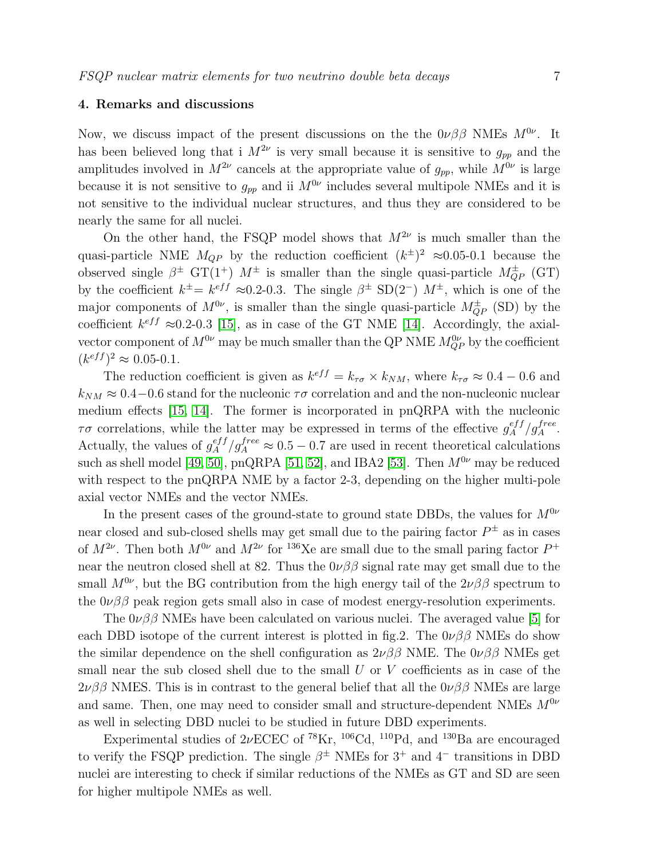## 4. Remarks and discussions

Now, we discuss impact of the present discussions on the the  $0\nu\beta\beta$  NMEs  $M^{0\nu}$ . It has been believed long that i  $M^{2\nu}$  is very small because it is sensitive to  $g_{pp}$  and the amplitudes involved in  $M^{2\nu}$  cancels at the appropriate value of  $g_{pp}$ , while  $M^{0\nu}$  is large because it is not sensitive to  $g_{pp}$  and ii  $M^{0\nu}$  includes several multipole NMEs and it is not sensitive to the individual nuclear structures, and thus they are considered to be nearly the same for all nuclei.

On the other hand, the FSQP model shows that  $M^{2\nu}$  is much smaller than the quasi-particle NME  $M_{QP}$  by the reduction coefficient  $(k^{\pm})^2 \approx 0.05$ -0.1 because the observed single  $\beta^{\pm}$  GT(1<sup>+</sup>)  $M^{\pm}$  is smaller than the single quasi-particle  $M_{QP}^{\pm}$  (GT) by the coefficient  $k^{\pm} = k^{eff} \approx 0.2$ -0.3. The single  $\beta^{\pm}$  SD(2<sup>-</sup>)  $M^{\pm}$ , which is one of the major components of  $M^{0\nu}$ , is smaller than the single quasi-particle  $M_{QP}^{\pm}$  (SD) by the coefficient  $k^{eff} \approx 0.2{\text -}0.3$  [\[15\]](#page-7-14), as in case of the GT NME [\[14\]](#page-7-13). Accordingly, the axialvector component of  $M^{0\nu}$  may be much smaller than the QP NME  $M^{0\nu}_{QP}$  by the coefficient  $(k^{eff})^2 \approx 0.05$ -0.1.

The reduction coefficient is given as  $k^{eff} = k_{\tau\sigma} \times k_{NM}$ , where  $k_{\tau\sigma} \approx 0.4 - 0.6$  and  $k_{NM} \approx 0.4-0.6$  stand for the nucleonic  $\tau\sigma$  correlation and and the non-nucleonic nuclear medium effects [\[15,](#page-7-14) [14\]](#page-7-13). The former is incorporated in pnQRPA with the nucleonic  $\tau\sigma$  correlations, while the latter may be expressed in terms of the effective  $g_A^{eff}/g_A^{free}$ . Actually, the values of  $g_A^{eff}/g_A^{free} \approx 0.5 - 0.7$  are used in recent theoretical calculations such as shell model [\[49,](#page-8-23) [50\]](#page-8-24), pnQRPA [\[51,](#page-8-25) [52\]](#page-8-26), and IBA2 [\[53\]](#page-8-27). Then  $M^{0\nu}$  may be reduced with respect to the pnQRPA NME by a factor 2-3, depending on the higher multi-pole axial vector NMEs and the vector NMEs.

In the present cases of the ground-state to ground state DBDs, the values for  $M^{0\nu}$ near closed and sub-closed shells may get small due to the pairing factor  $P^{\pm}$  as in cases of  $M^{2\nu}$ . Then both  $M^{0\nu}$  and  $M^{2\nu}$  for <sup>136</sup>Xe are small due to the small paring factor  $P^+$ near the neutron closed shell at 82. Thus the  $0\nu\beta\beta$  signal rate may get small due to the small  $M^{0\nu}$ , but the BG contribution from the high energy tail of the  $2\nu\beta\beta$  spectrum to the  $0\nu\beta\beta$  peak region gets small also in case of modest energy-resolution experiments.

The  $0\nu\beta\beta$  NMEs have been calculated on various nuclei. The averaged value [\[5\]](#page-7-4) for each DBD isotope of the current interest is plotted in fig.2. The  $0\nu\beta\beta$  NMEs do show the similar dependence on the shell configuration as  $2\nu\beta\beta$  NME. The  $0\nu\beta\beta$  NMEs get small near the sub closed shell due to the small  $U$  or  $V$  coefficients as in case of the  $2\nu\beta\beta$  NMES. This is in contrast to the general belief that all the  $0\nu\beta\beta$  NMEs are large and same. Then, one may need to consider small and structure-dependent NMEs  $M^{0\nu}$ as well in selecting DBD nuclei to be studied in future DBD experiments.

Experimental studies of  $2\nu$ ECEC of <sup>78</sup>Kr, <sup>106</sup>Cd, <sup>110</sup>Pd, and <sup>130</sup>Ba are encouraged to verify the FSQP prediction. The single  $\beta^{\pm}$  NMEs for 3<sup>+</sup> and 4<sup>-</sup> transitions in DBD nuclei are interesting to check if similar reductions of the NMEs as GT and SD are seen for higher multipole NMEs as well.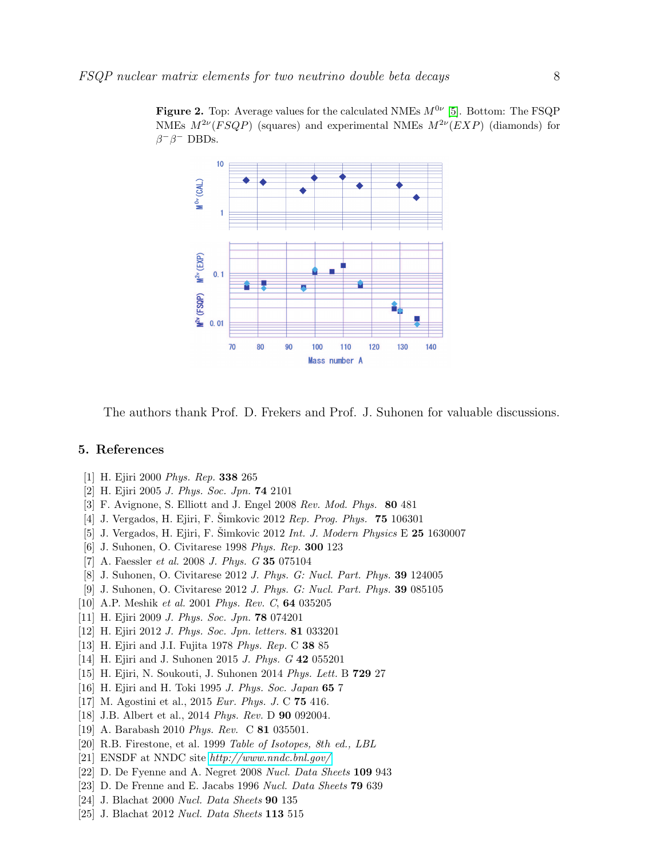Figure 2. Top: Average values for the calculated NMEs  $M^{0\nu}$  [\[5\]](#page-7-4). Bottom: The FSQP NMEs  $M^{2\nu}(FSQP)$  (squares) and experimental NMEs  $M^{2\nu}(EXP)$  (diamonds) for  $\beta^{-}\beta^{-}$  DBDs.



The authors thank Prof. D. Frekers and Prof. J. Suhonen for valuable discussions.

## <span id="page-7-0"></span>5. References

- <span id="page-7-1"></span>[1] H. Ejiri 2000 *Phys. Rep.* 338 265
- <span id="page-7-2"></span>[2] H. Ejiri 2005 *J. Phys. Soc. Jpn.* 74 2101
- <span id="page-7-3"></span>[3] F. Avignone, S. Elliott and J. Engel 2008 *Rev. Mod. Phys.* 80 481
- <span id="page-7-4"></span>[4] J. Vergados, H. Ejiri, F. Šimkovic 2012 *Rep. Prog. Phys.* **75** 106301
- <span id="page-7-5"></span>[5] J. Vergados, H. Ejiri, F. Šimkovic 2012 *Int. J. Modern Physics* E **25** 1630007
- <span id="page-7-6"></span>[6] J. Suhonen, O. Civitarese 1998 *Phys. Rep.* 300 123
- <span id="page-7-7"></span>[7] A. Faessler *et al.* 2008 *J. Phys. G* 35 075104
- <span id="page-7-8"></span>[8] J. Suhonen, O. Civitarese 2012 *J. Phys. G: Nucl. Part. Phys.* 39 124005
- <span id="page-7-9"></span>[9] J. Suhonen, O. Civitarese 2012 *J. Phys. G: Nucl. Part. Phys.* 39 085105
- <span id="page-7-10"></span>[10] A.P. Meshik *et al.* 2001 *Phys. Rev. C*, 64 035205
- <span id="page-7-11"></span>[11] H. Ejiri 2009 *J. Phys. Soc. Jpn.* 78 074201
- <span id="page-7-12"></span>[12] H. Ejiri 2012 *J. Phys. Soc. Jpn. letters.* 81 033201
- <span id="page-7-13"></span>[13] H. Ejiri and J.I. Fujita 1978 *Phys. Rep.* C 38 85
- <span id="page-7-14"></span>[14] H. Ejiri and J. Suhonen 2015 *J. Phys. G* 42 055201
- <span id="page-7-15"></span>[15] H. Ejiri, N. Soukouti, J. Suhonen 2014 *Phys. Lett.* B 729 27
- <span id="page-7-23"></span>[16] H. Ejiri and H. Toki 1995 *J. Phys. Soc. Japan* 65 7
- [17] M. Agostini et al., 2015 *Eur. Phys. J.* C 75 416.
- <span id="page-7-22"></span>[18] J.B. Albert et al., 2014 *Phys. Rev.* D 90 092004.
- <span id="page-7-16"></span>[19] A. Barabash 2010 *Phys. Rev.* C 81 035501.
- <span id="page-7-17"></span>[20] R.B. Firestone, et al. 1999 *Table of Isotopes, 8*th *ed., LBL*
- <span id="page-7-18"></span>[21] ENSDF at NNDC site *<http://www.nndc.bnl.gov/>*
- <span id="page-7-19"></span>[22] D. De Fyenne and A. Negret 2008 *Nucl. Data Sheets* 109 943
- <span id="page-7-20"></span>[23] D. De Frenne and E. Jacabs 1996 *Nucl. Data Sheets* 79 639
- <span id="page-7-21"></span>[24] J. Blachat 2000 *Nucl. Data Sheets* 90 135
- [25] J. Blachat 2012 *Nucl. Data Sheets* 113 515